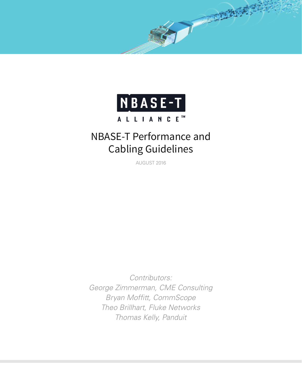

The Manual

# NBASE-T Performance and Cabling Guidelines

AUGUST 2016

*Contributors: George Zimmerman, CME Consulting Bryan Moffitt, CommScope Theo Brillhart, Fluke Networks Thomas Kelly, Panduit*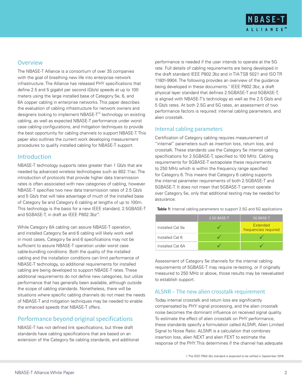

## **Overview**

The NBASE-T Alliance is a consortium of over 35 companies with the goal of breathing new life into enterprise network infrastructure. The Alliance has released PHY specifications that define 2.5 and 5 gigabit per second (Gb/s) speeds at up to 100 meters using the large installed base of Category 5e, 6, and 6A copper cabling in enterprise networks. This paper describes the evaluation of cabling infrastructure for network owners and designers looking to implement NBASE-T™ technology on existing cabling, as well as expected NBASE-T performance under worst case cabling configurations, and mitigation techniques to provide the best opportunity for cabling channels to support NBASE-T. This paper also outlines the current work developing measurement procedures to qualify installed cabling for NBASE-T support.

## **Introduction**

NBASE-T technology supports rates greater than 1 Gb/s that are needed by advanced wireless technologies such as 802.11ac. The introduction of protocols that provide higher data transmission rates is often associated with new categories of cabling, however NBASE-T specifies two new data transmission rates of 2.5 Gb/s and 5 Gb/s that will take advantage of much of the installed base of Category 5e and Category 6 cabling at lengths of up to 100m. This technology is the basis for a new IEEE standard, 2.5GBASE-T and 5GBASE-T, in draft as IEEE P802.3bz™.

While Category 6A cabling can assure NBASE-T operation, and installed Category 5e and 6 cabling will likely work well in most cases, Category 5e and 6 specifications may not be sufficient to assure NBASE-T operation under worst case cable-bundling conditions. Both the quality of the installed cabling and the installation conditions can limit performance of NBASE-T technology, so additional requirements for installed cabling are being developed to support NBASE-T rates. These additional requirements do not define new categories, but utilize performance that has generally been available, although outside the scope of cabling standards. Nonetheless, there will be situations where specific cabling channels do not meet the needs of NBASE-T and mitigation techniques may be needed to enable the enhanced speeds that NBASE-T offers.

# Performance beyond original specifications

NBASE-T has not defined link specifications, but three draft standards have cabling specifications that are based on an extension of the Category 5e cabling standards, and additional performance is needed if the user intends to operate at the 5G rate. Full details of cabling requirements are being developed in the draft standard IEEE P802.3bz and in TIA TSB 5021 and ISO TR 11801-9904. The following provides an overview of the guidance being developed in these documents.1 IEEE P802.3bz, a draft physical layer standard that defines 2.5GBASE-T and 5GBASE-T, is aligned with NBASE-T's technology as well as the 2.5 Gb/s and 5 Gb/s rates. At both 2.5G and 5G rates, an assessment of two performance factors is required: internal cabling parameters, and alien crosstalk.

#### Internal cabling parameters

Certification of Category cabling requires measurement of "internal" parameters such as insertion loss, return loss, and crosstalk. These standards use the Category 5e internal cabling specifications for 2.5GBASE-T, specified to 100 MHz. Cabling requirements for 5GBASE-T extrapolate these requirements to 250 MHz which is within the frequency range specified for Category 6. This means that Category 6 cabling supports the internal parameter requirements of both 2.5GBASE-T and 5GBASE-T. It does not mean that 5GBASE-T cannot operate over Category 5e, only that additional testing may be needed for assurance.

**Table 1:** Internal cabling parameters to support 2.5G and 5G applications

|                  | 2.5G BASE-T | <b>5G BASE-T</b>                        |
|------------------|-------------|-----------------------------------------|
| Installed Cat 5e |             | <b>Extended</b><br>frequencies required |
| Installed Cat 6  |             |                                         |
| Installed Cat 6A |             |                                         |

Assessment of Category 5e channels for the internal cabling requirements of 5GBASE-T may require re-testing, or if originally measured to 250 MHz or above, those results may be reevaluated to establish support.

#### ALSNR – The new alien crosstalk requirement

Today internal crosstalk and return loss are significantly compensated by PHY signal processing, and the alien crosstalk noise becomes the dominant influence on received signal quality. To estimate the effect of alien crosstalk on PHY performance, these standards specify a formulation called ALSNR, Alien Limited Signal to Noise Ratio. ALSNR is a calculation that combines insertion loss, alien NEXT and alien FEXT to estimate the response of the PHY. This determines if the channel has adequate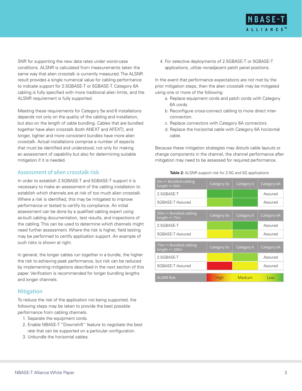

SNR for supporting the new data rates under worst-case conditions. ALSNR is calculated from measurements taken the same way that alien crosstalk is currently measured. The ALSNR result provides a single numerical value for cabling performance to indicate support for 2.5GBASE-T or 5GBASE-T. Category 6A cabling is fully specified with more traditional alien limits, and the ALSNR requirement is fully supported.

Meeting these requirements for Category 5e and 6 installations depends not only on the quality of the cabling and installation, but also on the length of cable bundling. Cables that are bundled together have alien crosstalk (both ANEXT and AFEXT), and longer, tighter and more consistent bundles have more alien crosstalk. Actual installations comprise a number of aspects that must be identified and understood, not only for making an assessment of capability but also for determining suitable mitigation if it is needed.

#### Assessment of alien crosstalk risk

In order to establish 2.5GBASE-T and 5GBASE-T support it is necessary to make an assessment of the cabling installation to establish which channels are at risk of too much alien crosstalk. Where a risk is identified, this may be mitigated to improve performance or tested to certify its compliance. An initial assessment can be done by a qualified cabling expert using as-built cabling documentation, test results, and inspections of the cabling. This can be used to determine which channels might need further assessment. Where the risk is higher, field testing may be performed to certify application support. An example of such risks is shown at right.

In general, the longer cables run together in a bundle, the higher the risk to achieving peak performance, but risk can be reduced by implementing mitigations described in the next section of this paper. Verification is recommended for longer bundling lengths and longer channels.

#### **Mitigation**

To reduce the risk of the application not being supported, the following steps may be taken to provide the best possible performance from cabling channels.

- 1. Separate the equipment cords.
- 2. Enable NBASE-T "Downshift" feature to negotiate the best rate that can be supported on a particular configuration.
- 3. Unbundle the horizontal cables.

4. For selective deployments of 2.5GBASE-T or 5GBASE-T applications, utilize nonadjacent patch panel positions.

In the event that performance expectations are not met by the prior mitigation steps, then the alien crosstalk may be mitigated using one or more of the following:

- a. Replace equipment cords and patch cords with Category 6A cords.
- b. Reconfigure cross-connect cabling to more direct interconnection.
- c. Replace connectors with Category 6A connectors.
- d. Replace the horizontal cable with Category 6A horizontal cable.

Because these mitigation strategies may disturb cable layouts or change components in the channel, the channel performance after mitigation may need to be assessed for required performance.

**Table 2:** ALSNR support risk for 2.5G and 5G applications

| 0m <= Bundled cabling<br>length $\leq 50m$       | Category 5e | Category 6 | Category 6A |
|--------------------------------------------------|-------------|------------|-------------|
| 2.5GBASE-T                                       |             |            | Assured     |
| 5GBASE-T Assured                                 |             |            | Assured     |
|                                                  |             |            |             |
| 50m <= Bundled cabling<br>$length < = 75m$       | Category 5e | Category 6 | Category 6A |
| 2.5GBASE-T                                       |             |            | Assured     |
| 5GBASE-T Assured                                 |             |            | Assured     |
|                                                  |             |            |             |
| $75m \leq $ Bundled cabling<br>$length < = 100m$ | Category 5e | Category 6 | Category 6A |
| 2.5GBASE-T                                       |             |            | Assured     |
| 5GBASE-T Assured                                 |             |            | Assured     |
|                                                  |             |            |             |
| <b>ALSNR Risk</b>                                | <b>High</b> | Medium     | Low         |